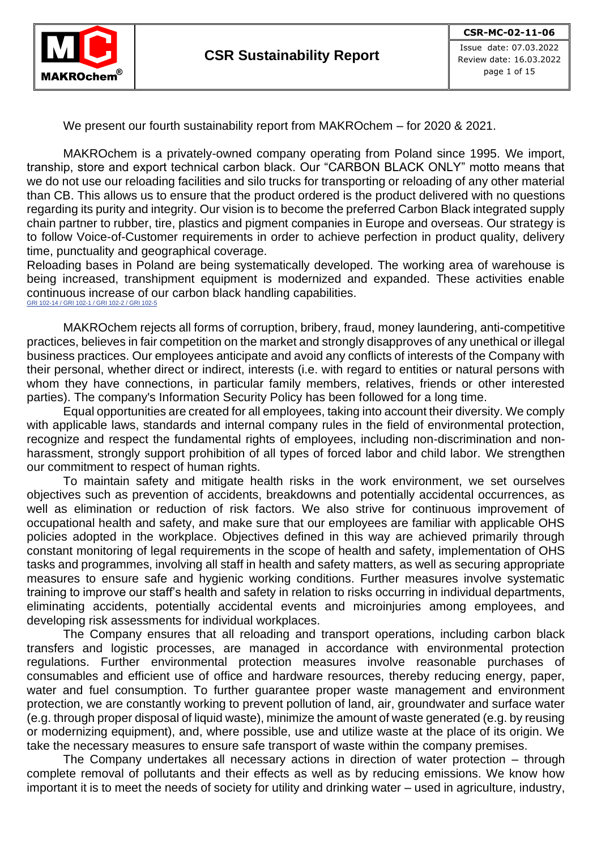

We present our fourth sustainability report from MAKROchem – for 2020 & 2021.

MAKROchem is a privately-owned company operating from Poland since 1995. We import, tranship, store and export technical carbon black. Our "CARBON BLACK ONLY" motto means that we do not use our reloading facilities and silo trucks for transporting or reloading of any other material than CB. This allows us to ensure that the product ordered is the product delivered with no questions regarding its purity and integrity. Our vision is to become the preferred Carbon Black integrated supply chain partner to rubber, tire, plastics and pigment companies in Europe and overseas. Our strategy is to follow Voice-of-Customer requirements in order to achieve perfection in product quality, delivery time, punctuality and geographical coverage.

Reloading bases in Poland are being systematically developed. The working area of warehouse is being increased, transhipment equipment is modernized and expanded. These activities enable continuous increase of our carbon black handling capabilities. GRI 102-14 / GRI 102-1 / GRI 102-2 / GRI 102-

MAKROchem rejects all forms of corruption, bribery, fraud, money laundering, anti-competitive practices, believes in fair competition on the market and strongly disapproves of any unethical or illegal business practices. Our employees anticipate and avoid any conflicts of interests of the Company with their personal, whether direct or indirect, interests (i.e. with regard to entities or natural persons with whom they have connections, in particular family members, relatives, friends or other interested parties). The company's Information Security Policy has been followed for a long time.

Equal opportunities are created for all employees, taking into account their diversity. We comply with applicable laws, standards and internal company rules in the field of environmental protection, recognize and respect the fundamental rights of employees, including non-discrimination and nonharassment, strongly support prohibition of all types of forced labor and child labor. We strengthen our commitment to respect of human rights.

To maintain safety and mitigate health risks in the work environment, we set ourselves objectives such as prevention of accidents, breakdowns and potentially accidental occurrences, as well as elimination or reduction of risk factors. We also strive for continuous improvement of occupational health and safety, and make sure that our employees are familiar with applicable OHS policies adopted in the workplace. Objectives defined in this way are achieved primarily through constant monitoring of legal requirements in the scope of health and safety, implementation of OHS tasks and programmes, involving all staff in health and safety matters, as well as securing appropriate measures to ensure safe and hygienic working conditions. Further measures involve systematic training to improve our staff's health and safety in relation to risks occurring in individual departments, eliminating accidents, potentially accidental events and microinjuries among employees, and developing risk assessments for individual workplaces.

The Company ensures that all reloading and transport operations, including carbon black transfers and logistic processes, are managed in accordance with environmental protection regulations. Further environmental protection measures involve reasonable purchases of consumables and efficient use of office and hardware resources, thereby reducing energy, paper, water and fuel consumption. To further guarantee proper waste management and environment protection, we are constantly working to prevent pollution of land, air, groundwater and surface water (e.g. through proper disposal of liquid waste), minimize the amount of waste generated (e.g. by reusing or modernizing equipment), and, where possible, use and utilize waste at the place of its origin. We take the necessary measures to ensure safe transport of waste within the company premises.

The Company undertakes all necessary actions in direction of water protection – through complete removal of pollutants and their effects as well as by reducing emissions. We know how important it is to meet the needs of society for utility and drinking water – used in agriculture, industry,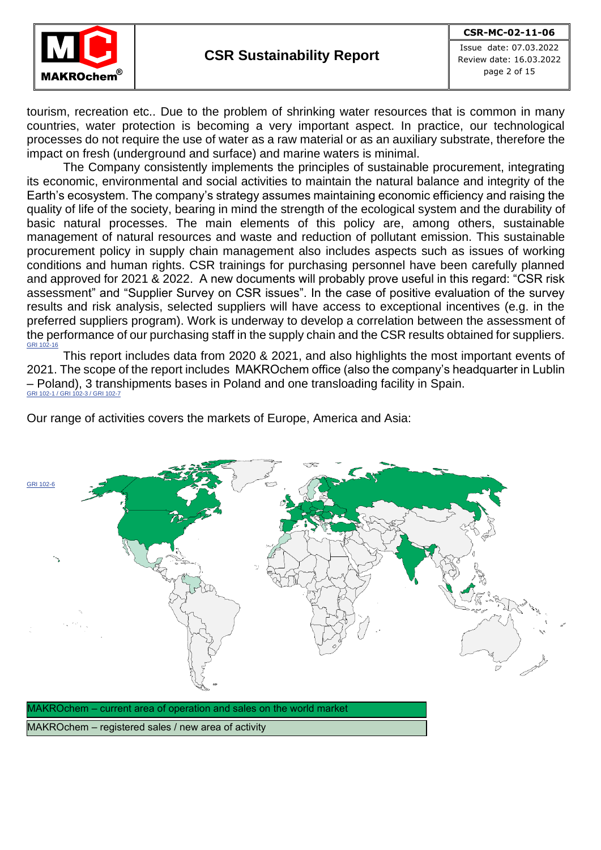

Issue date: 07.03.2022 Review date: 16.03.2022 page 2 of 15

tourism, recreation etc.. Due to the problem of shrinking water resources that is common in many countries, water protection is becoming a very important aspect. In practice, our technological processes do not require the use of water as a raw material or as an auxiliary substrate, therefore the impact on fresh (underground and surface) and marine waters is minimal.

The Company consistently implements the principles of sustainable procurement, integrating its economic, environmental and social activities to maintain the natural balance and integrity of the Earth's ecosystem. The company's strategy assumes maintaining economic efficiency and raising the quality of life of the society, bearing in mind the strength of the ecological system and the durability of basic natural processes. The main elements of this policy are, among others, sustainable management of natural resources and waste and reduction of pollutant emission. This sustainable procurement policy in supply chain management also includes aspects such as issues of working conditions and human rights. CSR trainings for purchasing personnel have been carefully planned and approved for 2021 & 2022. A new documents will probably prove useful in this regard: "CSR risk assessment" and "Supplier Survey on CSR issues". In the case of positive evaluation of the survey results and risk analysis, selected suppliers will have access to exceptional incentives (e.g. in the preferred suppliers program). Work is underway to develop a correlation between the assessment of the performance of our purchasing staff in the supply chain and the CSR results obtained for suppliers. GRI 102-16

This report includes data from 2020 & 2021, and also highlights the most important events of 2021. The scope of the report includes MAKROchem office (also the company's headquarter in Lublin – Poland), 3 transhipments bases in Poland and one transloading facility in Spain. GRI 102-1 / GRI 102-3 / GRI 102-7

Our range of activities covers the markets of Europe, America and Asia:



MAKROchem – registered sales / new area of activity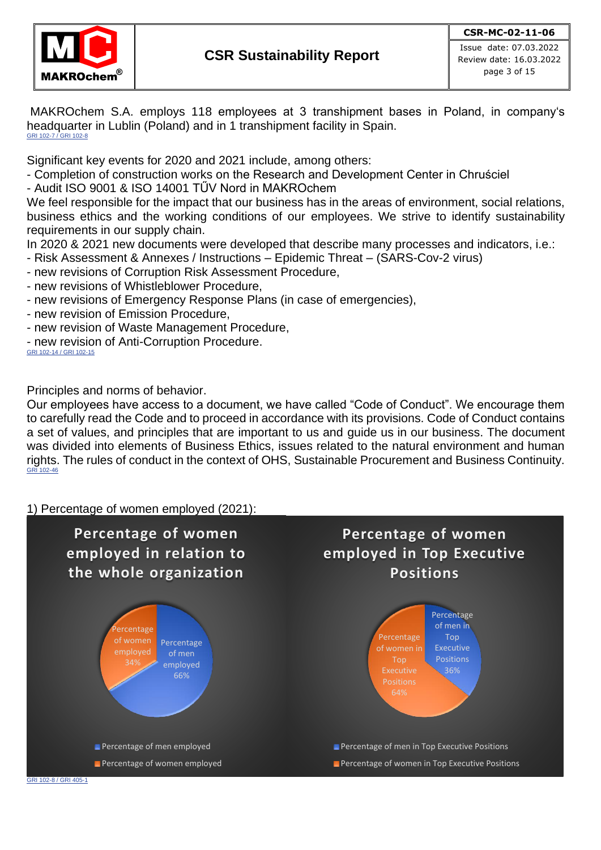

MAKROchem S.A. employs 118 employees at 3 transhipment bases in Poland, in company's headquarter in Lublin (Poland) and in 1 transhipment facility in Spain. GRI 102-7 / GRI 102-8

Significant key events for 2020 and 2021 include, among others:

- Completion of construction works on the Research and Development Center in Chruściel

- Audit ISO 9001 & ISO 14001 TŰV Nord in MAKROchem

We feel responsible for the impact that our business has in the areas of environment, social relations, business ethics and the working conditions of our employees. We strive to identify sustainability requirements in our supply chain.

In 2020 & 2021 new documents were developed that describe many processes and indicators, i.e.:

- Risk Assessment & Annexes / Instructions Epidemic Threat (SARS-Cov-2 virus)
- new revisions of Corruption Risk Assessment Procedure,
- new revisions of Whistleblower Procedure,
- new revisions of Emergency Response Plans (in case of emergencies),
- new revision of Emission Procedure,
- new revision of Waste Management Procedure,
- new revision of Anti-Corruption Procedure.

GRI 102-14 / GRI 102-15

Principles and norms of behavior.

Our employees have access to a document, we have called "Code of Conduct". We encourage them to carefully read the Code and to proceed in accordance with its provisions. Code of Conduct contains a set of values, and principles that are important to us and guide us in our business. The document was divided into elements of Business Ethics, issues related to the natural environment and human rights. The rules of conduct in the context of OHS, Sustainable Procurement and Business Continuity. GRI 102-46

1) Percentage of women employed (2021):

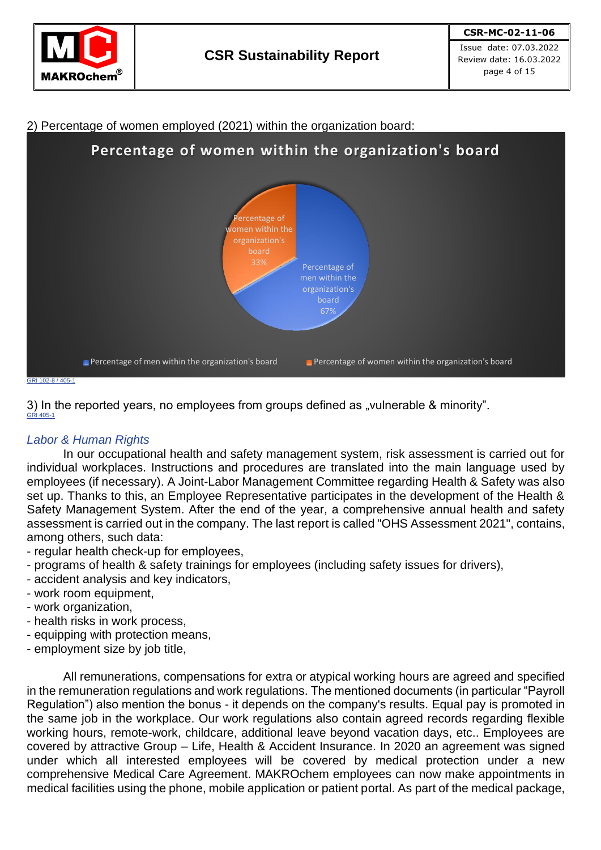



2) Percentage of women employed (2021) within the organization board:

3) In the reported years, no employees from groups defined as "vulnerable & minority". GRI 405-1

# *Labor & Human Rights*

In our occupational health and safety management system, risk assessment is carried out for individual workplaces. Instructions and procedures are translated into the main language used by employees (if necessary). A Joint-Labor Management Committee regarding Health & Safety was also set up. Thanks to this, an Employee Representative participates in the development of the Health & Safety Management System. After the end of the year, a comprehensive annual health and safety assessment is carried out in the company. The last report is called "OHS Assessment 2021", contains, among others, such data:

- regular health check-up for employees,
- programs of health & safety trainings for employees (including safety issues for drivers),
- accident analysis and key indicators,
- work room equipment,
- work organization,
- health risks in work process,
- equipping with protection means,
- employment size by job title,

All remunerations, compensations for extra or atypical working hours are agreed and specified in the remuneration regulations and work regulations. The mentioned documents (in particular "Payroll Regulation") also mention the bonus - it depends on the company's results. Equal pay is promoted in the same job in the workplace. Our work regulations also contain agreed records regarding flexible working hours, remote-work, childcare, additional leave beyond vacation days, etc.. Employees are covered by attractive Group – Life, Health & Accident Insurance. In 2020 an agreement was signed under which all interested employees will be covered by medical protection under a new comprehensive Medical Care Agreement. MAKROchem employees can now make appointments in medical facilities using the phone, mobile application or patient portal. As part of the medical package,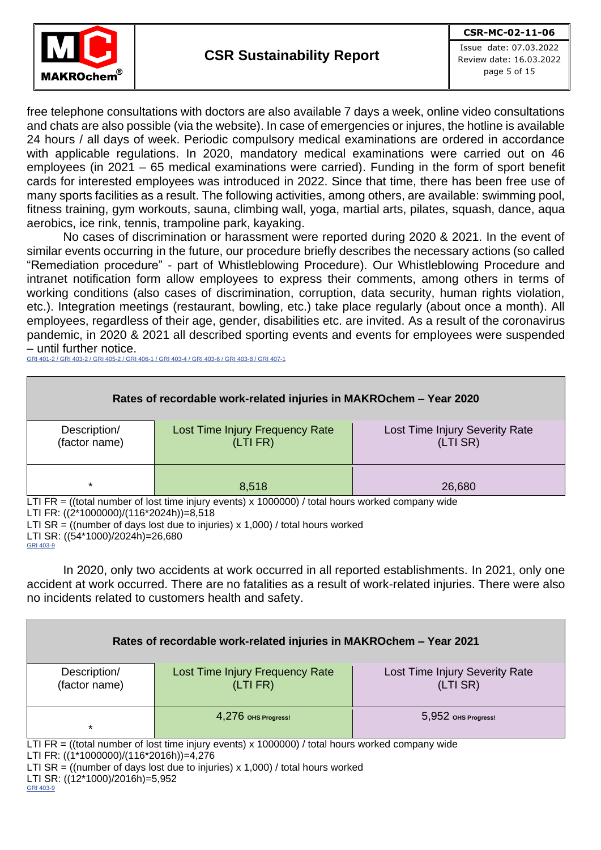

Issue date: 07.03.2022 Review date: 16.03.2022 page 5 of 15

free telephone consultations with doctors are also available 7 days a week, online video consultations and chats are also possible (via the website). In case of emergencies or injures, the hotline is available 24 hours / all days of week. Periodic compulsory medical examinations are ordered in accordance with applicable regulations. In 2020, mandatory medical examinations were carried out on 46 employees (in 2021 – 65 medical examinations were carried). Funding in the form of sport benefit cards for interested employees was introduced in 2022. Since that time, there has been free use of many sports facilities as a result. The following activities, among others, are available: swimming pool, fitness training, gym workouts, sauna, climbing wall, yoga, martial arts, pilates, squash, dance, aqua aerobics, ice rink, tennis, trampoline park, kayaking.

No cases of discrimination or harassment were reported during 2020 & 2021. In the event of similar events occurring in the future, our procedure briefly describes the necessary actions (so called "Remediation procedure" - part of Whistleblowing Procedure). Our Whistleblowing Procedure and intranet notification form allow employees to express their comments, among others in terms of working conditions (also cases of discrimination, corruption, data security, human rights violation, etc.). Integration meetings (restaurant, bowling, etc.) take place regularly (about once a month). All employees, regardless of their age, gender, disabilities etc. are invited. As a result of the coronavirus pandemic, in 2020 & 2021 all described sporting events and events for employees were suspended – until further notice.

GRI 401-2 / GRI 403-2 / GRI 405-2 / GRI 406-1 / GRI 403-4 / GRI 403-6 / GRI 403-8 / GRI 407-1



LTI SR = ((number of days lost due to injuries) x 1,000) / total hours worked

LTI SR: ((54\*1000)/2024h)=26,680 GRI 403-9

In 2020, only two accidents at work occurred in all reported establishments. In 2021, only one accident at work occurred. There are no fatalities as a result of work-related injuries. There were also no incidents related to customers health and safety.

| Rates of recordable work-related injuries in MAKROchem - Year 2021                               |                                                                                 |                                |  |  |  |  |  |  |
|--------------------------------------------------------------------------------------------------|---------------------------------------------------------------------------------|--------------------------------|--|--|--|--|--|--|
| Description/                                                                                     | Lost Time Injury Frequency Rate                                                 | Lost Time Injury Severity Rate |  |  |  |  |  |  |
| (factor name)                                                                                    | (LTI FR)                                                                        | (LTI SR)                       |  |  |  |  |  |  |
|                                                                                                  |                                                                                 |                                |  |  |  |  |  |  |
|                                                                                                  | 4,276 OHS Progress!                                                             | 5,952 OHS Progress!            |  |  |  |  |  |  |
| $\star$                                                                                          |                                                                                 |                                |  |  |  |  |  |  |
| LTI FR = ((total number of lost time injury events) x 1000000) / total hours worked company wide |                                                                                 |                                |  |  |  |  |  |  |
| LTI FR: ((1*1000000)/(116*2016h))=4,276                                                          |                                                                                 |                                |  |  |  |  |  |  |
|                                                                                                  | LTI SR = ((number of days lost due to injuries) $x$ 1,000) / total hours worked |                                |  |  |  |  |  |  |
| LTI SR: ((12*1000)/2016h)=5,952                                                                  |                                                                                 |                                |  |  |  |  |  |  |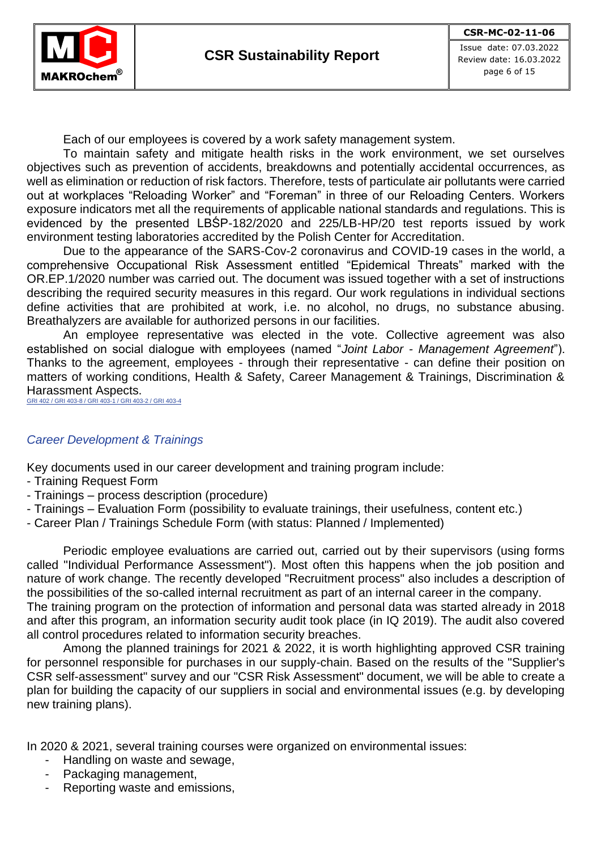Each of our employees is covered by a work safety management system.

To maintain safety and mitigate health risks in the work environment, we set ourselves objectives such as prevention of accidents, breakdowns and potentially accidental occurrences, as well as elimination or reduction of risk factors. Therefore, tests of particulate air pollutants were carried out at workplaces "Reloading Worker" and "Foreman" in three of our Reloading Centers. Workers exposure indicators met all the requirements of applicable national standards and regulations. This is evidenced by the presented LBŚP-182/2020 and 225/LB-HP/20 test reports issued by work environment testing laboratories accredited by the Polish Center for Accreditation.

Due to the appearance of the SARS-Cov-2 coronavirus and COVID-19 cases in the world, a comprehensive Occupational Risk Assessment entitled "Epidemical Threats" marked with the OR.EP.1/2020 number was carried out. The document was issued together with a set of instructions describing the required security measures in this regard. Our work regulations in individual sections define activities that are prohibited at work, i.e. no alcohol, no drugs, no substance abusing. Breathalyzers are available for authorized persons in our facilities.

An employee representative was elected in the vote. Collective agreement was also established on social dialogue with employees (named "*Joint Labor - Management Agreement*"). Thanks to the agreement, employees - through their representative - can define their position on matters of working conditions, Health & Safety, Career Management & Trainings, Discrimination & Harassment Aspects.

GRI 402 / GRI 403-8 / GRI 403-1 / GRI 403-2 / GRI 403-4

## *Career Development & Trainings*

Key documents used in our career development and training program include:

- Training Request Form
- Trainings process description (procedure)
- Trainings Evaluation Form (possibility to evaluate trainings, their usefulness, content etc.)
- Career Plan / Trainings Schedule Form (with status: Planned / Implemented)

Periodic employee evaluations are carried out, carried out by their supervisors (using forms called "Individual Performance Assessment"). Most often this happens when the job position and nature of work change. The recently developed "Recruitment process" also includes a description of the possibilities of the so-called internal recruitment as part of an internal career in the company.

The training program on the protection of information and personal data was started already in 2018 and after this program, an information security audit took place (in IQ 2019). The audit also covered all control procedures related to information security breaches.

Among the planned trainings for 2021 & 2022, it is worth highlighting approved CSR training for personnel responsible for purchases in our supply-chain. Based on the results of the "Supplier's CSR self-assessment" survey and our "CSR Risk Assessment" document, we will be able to create a plan for building the capacity of our suppliers in social and environmental issues (e.g. by developing new training plans).

In 2020 & 2021, several training courses were organized on environmental issues:

- Handling on waste and sewage,
- Packaging management,
- Reporting waste and emissions,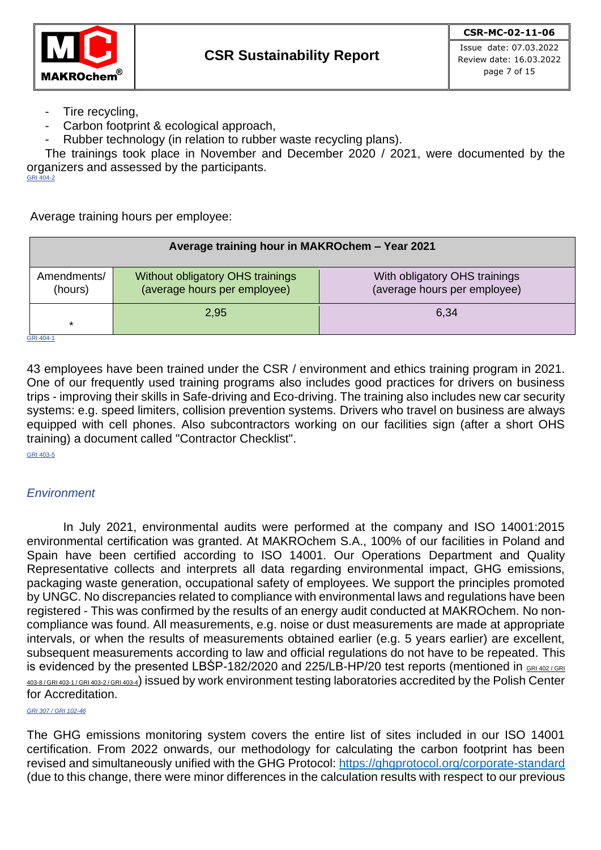

Issue date: 07.03.2022 Review date: 16.03.2022 page 7 of 15

- Tire recycling,
- Carbon footprint & ecological approach,
- Rubber technology (in relation to rubber waste recycling plans).

The trainings took place in November and December 2020 / 2021, were documented by the organizers and assessed by the participants. GRI 404-2

Average training hours per employee:

|                         | Average training hour in MAKROchem - Year 2021                   |                                                               |  |  |  |  |  |
|-------------------------|------------------------------------------------------------------|---------------------------------------------------------------|--|--|--|--|--|
| Amendments/<br>(hours)  | Without obligatory OHS trainings<br>(average hours per employee) | With obligatory OHS trainings<br>(average hours per employee) |  |  |  |  |  |
| 6,34<br>2,95<br>$\star$ |                                                                  |                                                               |  |  |  |  |  |
| GRI 404-1               |                                                                  |                                                               |  |  |  |  |  |

43 employees have been trained under the CSR / environment and ethics training program in 2021. One of our frequently used training programs also includes good practices for drivers on business trips - improving their skills in Safe-driving and Eco-driving. The training also includes new car security systems: e.g. speed limiters, collision prevention systems. Drivers who travel on business are always equipped with cell phones. Also subcontractors working on our facilities sign (after a short OHS training) a document called "Contractor Checklist".

GRI 403-5

## *Environment*

In July 2021, environmental audits were performed at the company and ISO 14001:2015 environmental certification was granted. At MAKROchem S.A., 100% of our facilities in Poland and Spain have been certified according to ISO 14001. Our Operations Department and Quality Representative collects and interprets all data regarding environmental impact, GHG emissions, packaging waste generation, occupational safety of employees. We support the principles promoted by UNGC. No discrepancies related to compliance with environmental laws and regulations have been registered - This was confirmed by the results of an energy audit conducted at MAKROchem. No noncompliance was found. All measurements, e.g. noise or dust measurements are made at appropriate intervals, or when the results of measurements obtained earlier (e.g. 5 years earlier) are excellent, subsequent measurements according to law and official regulations do not have to be repeated. This is evidenced by the presented LBSP-182/2020 and 225/LB-HP/20 test reports (mentioned in GRI 402/GRI 403-8 / GRI 403-1 / GRI 403-2 / GRI 403-4) issued by work environment testing laboratories accredited by the Polish Center for Accreditation.

*GRI 307 / GRI 102-46*

The GHG emissions monitoring system covers the entire list of sites included in our ISO 14001 certification. From 2022 onwards, our methodology for calculating the carbon footprint has been revised and simultaneously unified with the GHG Protocol:<https://ghgprotocol.org/corporate-standard> (due to this change, there were minor differences in the calculation results with respect to our previous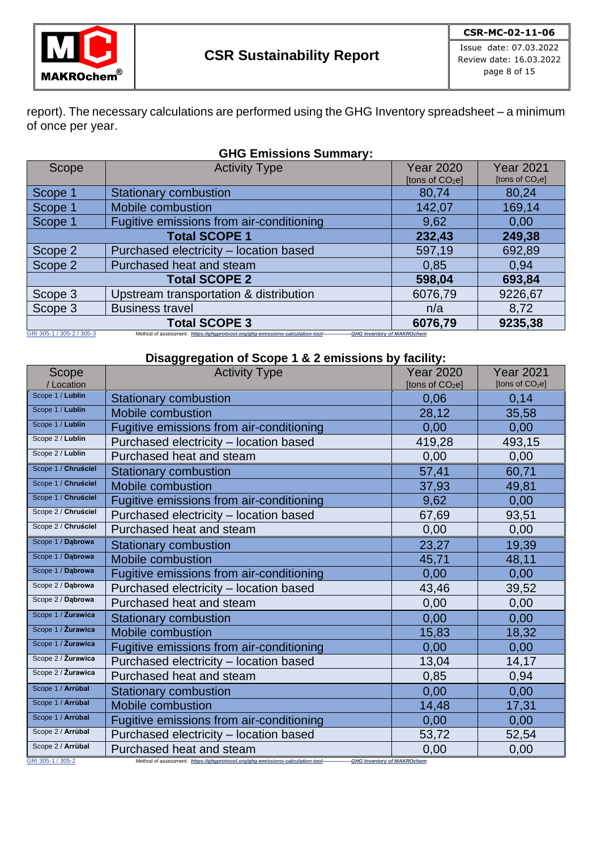

Issue date: 07.03.2022 Review date: 16.03.2022 page 8 of 15

report). The necessary calculations are performed using the GHG Inventory spreadsheet – a minimum of once per year.

| <b>GHG Emissions Summary:</b>              |                                                                                                                       |                             |                             |  |  |  |
|--------------------------------------------|-----------------------------------------------------------------------------------------------------------------------|-----------------------------|-----------------------------|--|--|--|
| Scope                                      | <b>Activity Type</b>                                                                                                  | <b>Year 2020</b>            | <b>Year 2021</b>            |  |  |  |
|                                            |                                                                                                                       | [tons of CO <sub>2</sub> e] | [tons of CO <sub>2</sub> e] |  |  |  |
| Scope 1                                    | <b>Stationary combustion</b>                                                                                          | 80,74                       | 80,24                       |  |  |  |
| Scope 1                                    | Mobile combustion                                                                                                     | 142,07                      | 169,14                      |  |  |  |
| Scope 1                                    | Fugitive emissions from air-conditioning                                                                              | 9,62                        | 0,00                        |  |  |  |
|                                            | <b>Total SCOPE 1</b>                                                                                                  | 232,43                      | 249,38                      |  |  |  |
| Scope 2                                    | Purchased electricity - location based                                                                                | 597,19                      | 692,89                      |  |  |  |
| Scope 2                                    | Purchased heat and steam                                                                                              | 0.85                        | 0.94                        |  |  |  |
|                                            | <b>Total SCOPE 2</b><br>693,84<br>598,04                                                                              |                             |                             |  |  |  |
| Scope 3                                    | Upstream transportation & distribution                                                                                | 6076,79                     | 9226,67                     |  |  |  |
| Scope 3                                    | <b>Business travel</b>                                                                                                | n/a                         | 8,72                        |  |  |  |
| <b>Total SCOPE 3</b><br>9235,38<br>6076,79 |                                                                                                                       |                             |                             |  |  |  |
| GRI 305-1 / 305-2 / 305-3                  | Method of assessment: https://ghgprotocol.org/ghg-emissions-calculation-tool---------------GHG Inventory of MAKROchem |                             |                             |  |  |  |

**Disaggregation of Scope 1 & 2 emissions by facility:** 

| Scope<br>/ Location | <b>Activity Type</b>                                                                                            | <b>Year 2020</b><br>[tons of CO <sub>2</sub> e] | <b>Year 2021</b><br>[tons of CO <sub>2</sub> e] |
|---------------------|-----------------------------------------------------------------------------------------------------------------|-------------------------------------------------|-------------------------------------------------|
| Scope 1 / Lublin    | <b>Stationary combustion</b>                                                                                    | 0,06                                            | 0.14                                            |
| Scope 1 / Lublin    | <b>Mobile combustion</b>                                                                                        | 28,12                                           | 35,58                                           |
| Scope 1 / Lublin    | Fugitive emissions from air-conditioning                                                                        | 0,00                                            | 0,00                                            |
| Scope 2 / Lublin    | Purchased electricity - location based                                                                          | 419,28                                          | 493,15                                          |
| Scope 2 / Lublin    | Purchased heat and steam                                                                                        | 0,00                                            | 0,00                                            |
| Scope 1 / Chruściel | <b>Stationary combustion</b>                                                                                    | 57,41                                           | 60,71                                           |
| Scope 1 / Chruściel | Mobile combustion                                                                                               | 37,93                                           | 49,81                                           |
| Scope 1 / Chruściel | Fugitive emissions from air-conditioning                                                                        | 9,62                                            | 0,00                                            |
| Scope 2 / Chruściel | Purchased electricity - location based                                                                          | 67,69                                           | 93,51                                           |
| Scope 2 / Chruściel | Purchased heat and steam                                                                                        | 0,00                                            | 0,00                                            |
| Scope 1 / Dąbrowa   | <b>Stationary combustion</b>                                                                                    | 23,27                                           | 19,39                                           |
| Scope 1 / Dąbrowa   | Mobile combustion                                                                                               | 45,71                                           | 48,11                                           |
| Scope 1 / Dąbrowa   | Fugitive emissions from air-conditioning                                                                        | 0,00                                            | 0,00                                            |
| Scope 2 / Dąbrowa   | Purchased electricity - location based                                                                          | 43,46                                           | 39,52                                           |
| Scope 2 / Dąbrowa   | Purchased heat and steam                                                                                        | 0,00                                            | 0,00                                            |
| Scope 1 / Żurawica  | <b>Stationary combustion</b>                                                                                    | 0,00                                            | 0,00                                            |
| Scope 1 / Żurawica  | Mobile combustion                                                                                               | 15,83                                           | 18,32                                           |
| Scope 1 / Żurawica  | Fugitive emissions from air-conditioning                                                                        | 0,00                                            | 0,00                                            |
| Scope 2 / Żurawica  | Purchased electricity - location based                                                                          | 13,04                                           | 14,17                                           |
| Scope 2 / Żurawica  | Purchased heat and steam                                                                                        | 0,85                                            | 0,94                                            |
| Scope 1 / Arrùbal   | <b>Stationary combustion</b>                                                                                    | 0,00                                            | 0,00                                            |
| Scope 1 / Arrùbal   | Mobile combustion                                                                                               | 14,48                                           | 17,31                                           |
| Scope 1 / Arrùbal   | Fugitive emissions from air-conditioning                                                                        | 0,00                                            | 0,00                                            |
| Scope 2 / Arrùbal   | Purchased electricity - location based                                                                          | 53,72                                           | 52,54                                           |
| Scope 2 / Arrùbal   | Purchased heat and steam                                                                                        | 0,00                                            | 0,00                                            |
| GRI 305-1 / 305-2   | Method of assessment: https://ghgprotocol.org/ghg-emissions-calculation-tool----<br>-GHG Inventory of MAKROchem |                                                 |                                                 |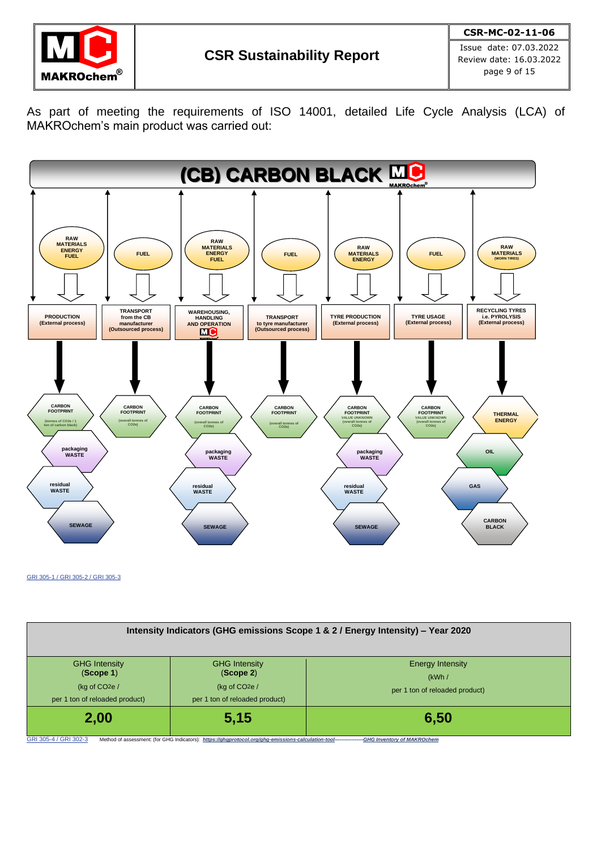

As part of meeting the requirements of ISO 14001, detailed Life Cycle Analysis (LCA) of MAKROchem's main product was carried out:



GRI 305-1 / GRI 305-2 / GRI 305-3

| Intensity Indicators (GHG emissions Scope 1 & 2 / Energy Intensity) – Year 2020       |                                                                                                                                                      |                                                             |  |  |  |
|---------------------------------------------------------------------------------------|------------------------------------------------------------------------------------------------------------------------------------------------------|-------------------------------------------------------------|--|--|--|
| <b>GHG Intensity</b><br>(Scope 1)<br>(kg of $CO2e/$<br>per 1 ton of reloaded product) | <b>GHG Intensity</b><br>(Scope 2)<br>(kg of $CO2e/$<br>per 1 ton of reloaded product)                                                                | Energy Intensity<br>(kWh/<br>per 1 ton of reloaded product) |  |  |  |
| 2,00<br>GRI 305-4 / GRI 302-3                                                         | 5,15<br>Method of assessment: (for GHG Indicators): https://ghgprotocol.org/ghg-emissions-calculation-tool----------------GHG Inventory of MAKROchem | 6,50                                                        |  |  |  |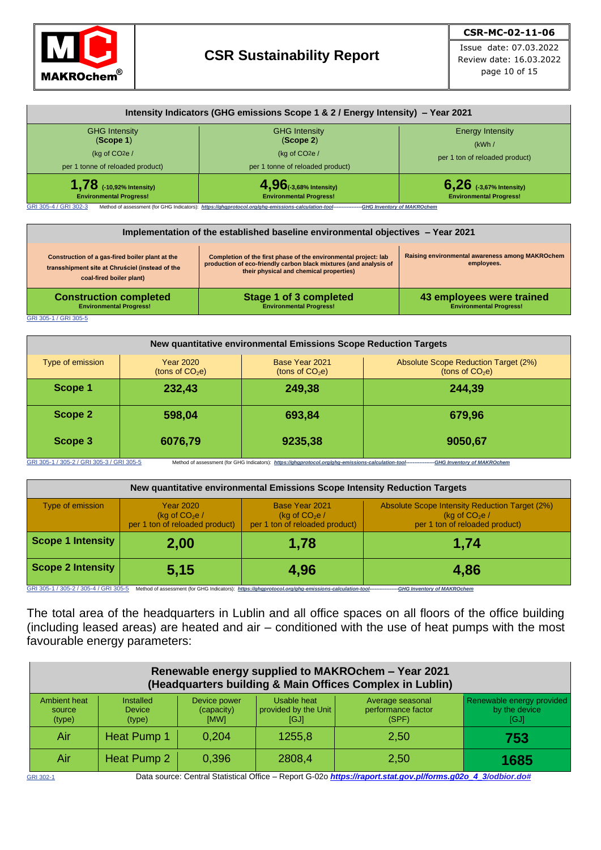

Issue date: 07.03.2022 Review date: 16.03.2022 page 10 of 15

| <b>GHG Intensity</b>             | <b>GHG Intensity</b>             | <b>Energy Intensity</b>        |  |
|----------------------------------|----------------------------------|--------------------------------|--|
| (Scope 1)                        | (Scope 2)                        | (kWh/                          |  |
| (kg of $CO2e/$                   | (kg of $CO2e/$                   | per 1 ton of reloaded product) |  |
| per 1 tonne of reloaded product) | per 1 tonne of reloaded product) |                                |  |
| $1.78$ (-10,92% Intensity)       | $4,96$ (-3,68% Intensity)        | $6,26$ (-3,67% Intensity)      |  |
| <b>Environmental Progress!</b>   | <b>Environmental Progress!</b>   | <b>Environmental Progress!</b> |  |

| Implementation of the established baseline environmental objectives - Year 2021                                                |                                                                                                                                                                                 |                                                               |  |  |  |  |
|--------------------------------------------------------------------------------------------------------------------------------|---------------------------------------------------------------------------------------------------------------------------------------------------------------------------------|---------------------------------------------------------------|--|--|--|--|
| Construction of a gas-fired boiler plant at the<br>transshipment site at Chruściel (instead of the<br>coal-fired boiler plant) | Completion of the first phase of the environmental project: lab<br>production of eco-friendly carbon black mixtures (and analysis of<br>their physical and chemical properties) | Raising environmental awareness among MAKROchem<br>employees. |  |  |  |  |
| <b>Construction completed</b><br><b>Environmental Progress!</b>                                                                | <b>Stage 1 of 3 completed</b><br><b>Environmental Progress!</b>                                                                                                                 | 43 employees were trained<br><b>Environmental Progress!</b>   |  |  |  |  |

GRI 305-1 / GRI 305-5

| New quantitative environmental Emissions Scope Reduction Targets                                                                                                                         |                                       |                                     |                                                           |  |  |
|------------------------------------------------------------------------------------------------------------------------------------------------------------------------------------------|---------------------------------------|-------------------------------------|-----------------------------------------------------------|--|--|
| Type of emission                                                                                                                                                                         | <b>Year 2020</b><br>(tons of $CO2e$ ) | Base Year 2021<br>(tons of $CO2e$ ) | Absolute Scope Reduction Target (2%)<br>(tons of $CO2e$ ) |  |  |
| Scope 1                                                                                                                                                                                  | 232,43                                | 249,38                              | 244,39                                                    |  |  |
| Scope 2                                                                                                                                                                                  | 598,04                                | 693,84                              | 679,96                                                    |  |  |
| Scope 3                                                                                                                                                                                  | 6076,79                               | 9235,38                             | 9050,67                                                   |  |  |
| GRI 305-1 / 305-2 / GRI 305-3 / GRI 305-5<br>Method of assessment (for GHG Indicators): https://ghaprotocol.org/gha-emissions-calculation-tool----------------GHG Inventory of MAKROchem |                                       |                                     |                                                           |  |  |

| 05-3 / GRI 305-9 | ----------Method of assessment (for GHG Indicators): https://ghaprotocol.org/ghg-emissions-calculation-tool--------- | -GHG Inventory of MAKROchem |
|------------------|----------------------------------------------------------------------------------------------------------------------|-----------------------------|
|                  |                                                                                                                      |                             |

| New quantitative environmental Emissions Scope Intensity Reduction Targets |                                                                      |                                                                    |                                                                                                    |  |  |
|----------------------------------------------------------------------------|----------------------------------------------------------------------|--------------------------------------------------------------------|----------------------------------------------------------------------------------------------------|--|--|
| Type of emission                                                           | <b>Year 2020</b><br>(kg of $CO2e/$<br>per 1 ton of reloaded product) | Base Year 2021<br>(kg of $CO2e/$<br>per 1 ton of reloaded product) | Absolute Scope Intensity Reduction Target (2%)<br>(kg of $CO2e/$<br>per 1 ton of reloaded product) |  |  |
| Scope 1 Intensity                                                          | 2,00                                                                 | 1,78                                                               | 1,74                                                                                               |  |  |
| <b>Scope 2 Intensity</b>                                                   | 5,15                                                                 | 4,96                                                               | 4,86                                                                                               |  |  |

GRI 305-1 / 305-2 / 305-4 / GRI 305-5 Method of assessment (for GHG Indicators): *[https://ghgprotocol.org/ghg-emissions-calculation-tool--](https://ghgprotocol.org/ghg-emissions-calculation-tool)---------------GHG Inventory of MAKROchem*

The total area of the headquarters in Lublin and all office spaces on all floors of the office building (including leased areas) are heated and air – conditioned with the use of heat pumps with the most favourable energy parameters:

| Renewable energy supplied to MAKROchem - Year 2021<br>(Headquarters building & Main Offices Complex in Lublin) |                                                                                                             |                                    |                                             |                                                 |                                                    |  |
|----------------------------------------------------------------------------------------------------------------|-------------------------------------------------------------------------------------------------------------|------------------------------------|---------------------------------------------|-------------------------------------------------|----------------------------------------------------|--|
| Ambient heat<br>source<br>(type)                                                                               | Installed<br><b>Device</b><br>(type)                                                                        | Device power<br>(capacity)<br>[MW] | Usable heat<br>provided by the Unit<br>[GJ] | Average seasonal<br>performance factor<br>(SPF) | Renewable energy provided<br>by the device<br>[GJ] |  |
| Air                                                                                                            | Heat Pump 1                                                                                                 | 0.204                              | 1255,8                                      | 2,50                                            | 753                                                |  |
| Air                                                                                                            | Heat Pump 2                                                                                                 | 0.396                              | 2808,4                                      | 2,50                                            | 1685                                               |  |
| GRI 302-1                                                                                                      | Data source: Central Statistical Office – Report G-02o https://raport.stat.gov.pl/forms.g02o 4 3/odbior.do# |                                    |                                             |                                                 |                                                    |  |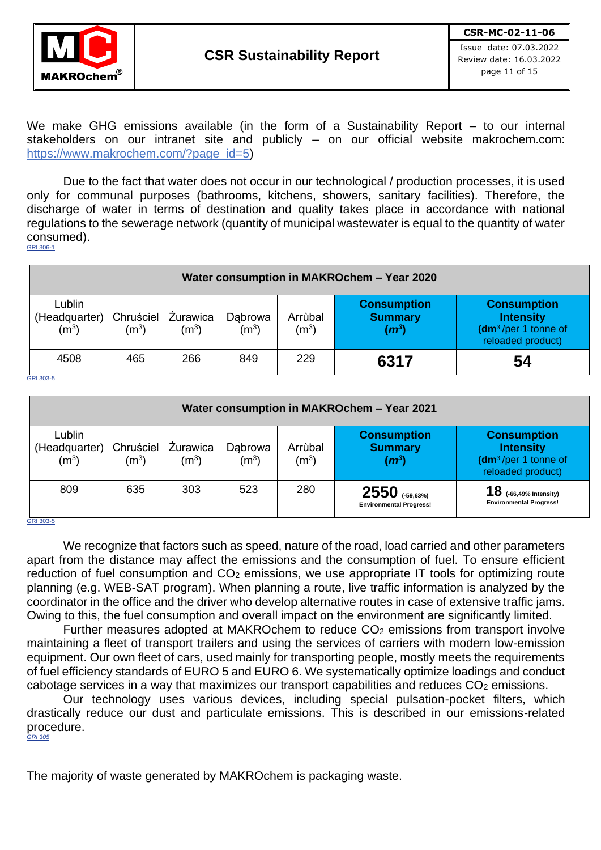

page 11 of 15

We make GHG emissions available (in the form of a Sustainability Report – to our internal stakeholders on our intranet site and publicly – on our official website makrochem.com: [https://www.makrochem.com/?page\\_id=5\)](https://www.makrochem.com/?page_id=5)

Due to the fact that water does not occur in our technological / production processes, it is used only for communal purposes (bathrooms, kitchens, showers, sanitary facilities). Therefore, the discharge of water in terms of destination and quality takes place in accordance with national regulations to the sewerage network (quantity of municipal wastewater is equal to the quantity of water consumed). GRI 306-1

| Water consumption in MAKROchem - Year 2020   |                                |                            |                              |                              |                                                 |                                                                                      |
|----------------------------------------------|--------------------------------|----------------------------|------------------------------|------------------------------|-------------------------------------------------|--------------------------------------------------------------------------------------|
| Lublin<br>(Headquarter)<br>(m <sup>3</sup> ) | Chruściel<br>(m <sup>3</sup> ) | <b>Zurawica</b><br>$(m^3)$ | Dabrowa<br>(m <sup>3</sup> ) | Arrùbal<br>(m <sup>3</sup> ) | <b>Consumption</b><br><b>Summary</b><br>$(m^3)$ | <b>Consumption</b><br><b>Intensity</b><br>$(dm3/per 1$ tonne of<br>reloaded product) |
| 4508                                         | 465                            | 266                        | 849                          | 229                          | 6317                                            | 54                                                                                   |

GRI 303-5

| Water consumption in MAKROchem - Year 2021   |                                |                     |                    |                              |                                                      |                                                                                                 |
|----------------------------------------------|--------------------------------|---------------------|--------------------|------------------------------|------------------------------------------------------|-------------------------------------------------------------------------------------------------|
| Lublin<br>(Headquarter)<br>(m <sup>3</sup> ) | Chruściel<br>(m <sup>3</sup> ) | Żurawica<br>$(m^3)$ | Dabrowa<br>$(m^3)$ | Arrùbal<br>(m <sup>3</sup> ) | <b>Consumption</b><br><b>Summary</b><br>$(m^3)$      | <b>Consumption</b><br><b>Intensity</b><br>(dm <sup>3</sup> /per 1 tonne of<br>reloaded product) |
| 809<br>GRI 303-5                             | 635                            | 303                 | 523                | 280                          | $2550$ $(-59,63%)$<br><b>Environmental Progress!</b> | ${\bf 18}$ (-66,49% Intensity)<br><b>Environmental Progress!</b>                                |

We recognize that factors such as speed, nature of the road, load carried and other parameters apart from the distance may affect the emissions and the consumption of fuel. To ensure efficient reduction of fuel consumption and  $CO<sub>2</sub>$  emissions, we use appropriate IT tools for optimizing route planning (e.g. WEB-SAT program). When planning a route, live traffic information is analyzed by the coordinator in the office and the driver who develop alternative routes in case of extensive traffic jams. Owing to this, the fuel consumption and overall impact on the environment are significantly limited.

Further measures adopted at MAKROchem to reduce  $CO<sub>2</sub>$  emissions from transport involve maintaining a fleet of transport trailers and using the services of carriers with modern low-emission equipment. Our own fleet of cars, used mainly for transporting people, mostly meets the requirements of fuel efficiency standards of EURO 5 and EURO 6. We systematically optimize loadings and conduct cabotage services in a way that maximizes our transport capabilities and reduces CO<sub>2</sub> emissions.

Our technology uses various devices, including special pulsation-pocket filters, which drastically reduce our dust and particulate emissions. This is described in our emissions-related procedure. *GRI 305*

The majority of waste generated by MAKROchem is packaging waste.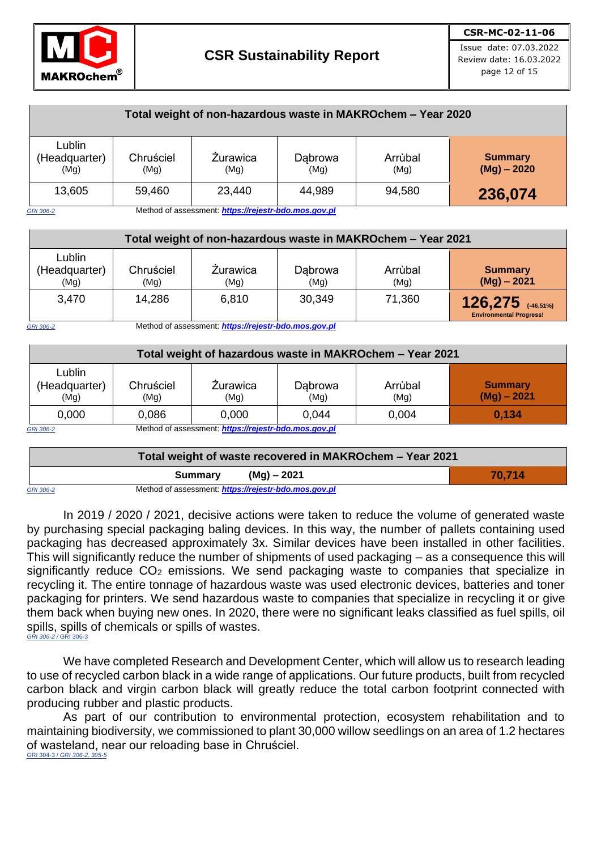

| Total weight of non-hazardous waste in MAKROchem - Year 2020 |                   |                                                      |                 |                 |                                 |
|--------------------------------------------------------------|-------------------|------------------------------------------------------|-----------------|-----------------|---------------------------------|
| Lublin<br>(Headquarter)<br>(Mg)                              | Chruściel<br>(Mg) | <b>Żurawica</b><br>(Mg)                              | Dąbrowa<br>(Mg) | Arrùbal<br>(Mg) | <b>Summary</b><br>$(Mg) - 2020$ |
| 13,605                                                       | 59,460            | 23,440                                               | 44,989          | 94,580          | 236,074                         |
| GRI 306-2                                                    |                   | Method of assessment: https://rejestr-bdo.mos.gov.pl |                 |                 |                                 |

| Total weight of non-hazardous waste in MAKROchem - Year 2021 |                   |                  |                 |                 |                                                         |
|--------------------------------------------------------------|-------------------|------------------|-----------------|-----------------|---------------------------------------------------------|
| Lublin<br>(Headquarter)<br>(Mg)                              | Chruściel<br>(Mg) | Zurawica<br>(Mg) | Dabrowa<br>(Mg) | Arrùbal<br>(Mg) | <b>Summary</b><br>$(Mg) - 2021$                         |
| 3,470                                                        | 14,286            | 6,810            | 30,349          | 71,360          | $126,275$ $(46,51\%)$<br><b>Environmental Progress!</b> |

*GRI 306-2* Method of assessment: *[https://rejestr-bdo.mos.gov.pl](https://rejestr-bdo.mos.gov.pl/)*

| Total weight of hazardous waste in MAKROchem - Year 2021 |                                                      |                  |                 |                 |                                 |
|----------------------------------------------------------|------------------------------------------------------|------------------|-----------------|-----------------|---------------------------------|
| Lublin<br>(Headquarter)<br>(Mg)                          | Chruściel<br>(Mg)                                    | Zurawica<br>(Mg) | Dabrowa<br>(Mg) | Arrùbal<br>(Mq) | <b>Summary</b><br>$(Mg) - 2021$ |
| 0,000                                                    | 0.086                                                | 0.000            | 0,044           | 0.004           | 0.134                           |
| GRI 306-2                                                | Method of assessment: https://rejestr-bdo.mos.gov.pl |                  |                 |                 |                                 |

| Total weight of waste recovered in MAKROchem - Year 2021 |         |                                                      |        |  |
|----------------------------------------------------------|---------|------------------------------------------------------|--------|--|
|                                                          | Summary | (Mg) – 2021                                          | 70.714 |  |
| <b>GRI 306-2</b>                                         |         | Method of assessment: https://rejestr-bdo.mos.gov.pl |        |  |

In 2019 / 2020 / 2021, decisive actions were taken to reduce the volume of generated waste by purchasing special packaging baling devices. In this way, the number of pallets containing used packaging has decreased approximately 3x. Similar devices have been installed in other facilities. This will significantly reduce the number of shipments of used packaging – as a consequence this will significantly reduce CO<sub>2</sub> emissions. We send packaging waste to companies that specialize in recycling it. The entire tonnage of hazardous waste was used electronic devices, batteries and toner packaging for printers. We send hazardous waste to companies that specialize in recycling it or give them back when buying new ones. In 2020, there were no significant leaks classified as fuel spills, oil spills, spills of chemicals or spills of wastes. *GRI 306-2 /* GRI 306-3

We have completed Research and Development Center, which will allow us to research leading to use of recycled carbon black in a wide range of applications. Our future products, built from recycled carbon black and virgin carbon black will greatly reduce the total carbon footprint connected with producing rubber and plastic products.

As part of our contribution to environmental protection, ecosystem rehabilitation and to maintaining biodiversity, we commissioned to plant 30,000 willow seedlings on an area of 1.2 hectares of wasteland, near our reloading base in Chruściel. GRI 304-3 / *GRI 306-2, 305-5*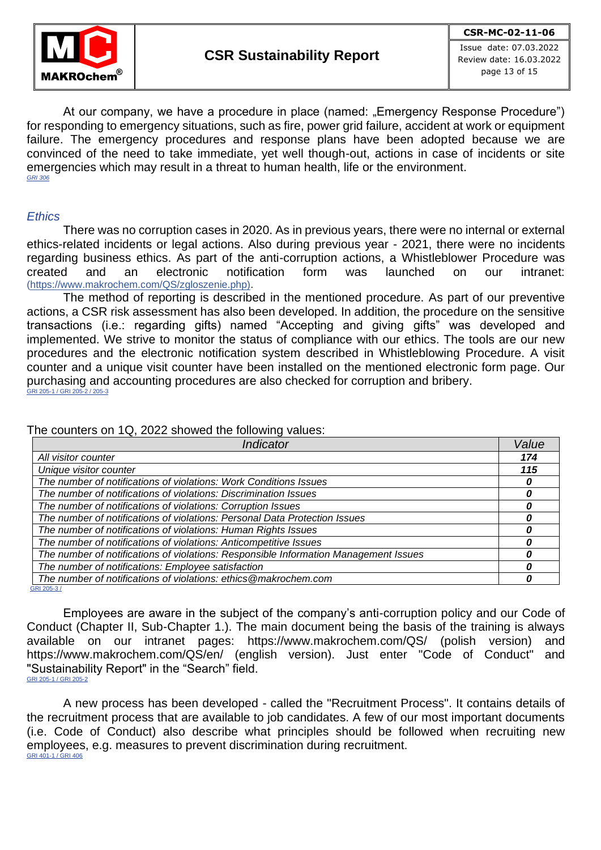

Issue date: 07.03.2022 Review date: 16.03.2022 page 13 of 15

At our company, we have a procedure in place (named: "Emergency Response Procedure") for responding to emergency situations, such as fire, power grid failure, accident at work or equipment failure. The emergency procedures and response plans have been adopted because we are convinced of the need to take immediate, yet well though-out, actions in case of incidents or site emergencies which may result in a threat to human health, life or the environment. *GRI 306*

#### *Ethics*

There was no corruption cases in 2020. As in previous years, there were no internal or external ethics-related incidents or legal actions. Also during previous year - 2021, there were no incidents regarding business ethics. As part of the anti-corruption actions, a Whistleblower Procedure was created and an electronic notification form was launched on our intranet: (https://www.makrochem.com/QS/zgloszenie.php).

The method of reporting is described in the mentioned procedure. As part of our preventive actions, a CSR risk assessment has also been developed. In addition, the procedure on the sensitive transactions (i.e.: regarding gifts) named "Accepting and giving gifts" was developed and implemented. We strive to monitor the status of compliance with our ethics. The tools are our new procedures and the electronic notification system described in Whistleblowing Procedure. A visit counter and a unique visit counter have been installed on the mentioned electronic form page. Our purchasing and accounting procedures are also checked for corruption and bribery. GRI 205-1 / GRI 205-2 / 205-3

The counters on 1Q, 2022 showed the following values:

| Value |
|-------|
| 174   |
| 115   |
|       |
|       |
|       |
|       |
|       |
|       |
|       |
|       |
|       |
|       |

Employees are aware in the subject of the company's anti-corruption policy and our Code of Conduct (Chapter II, Sub-Chapter 1.). The main document being the basis of the training is always available on our intranet pages: <https://www.makrochem.com/QS/> (polish version) and <https://www.makrochem.com/QS/en/> (english version). Just enter "Code of Conduct" and "Sustainability Report" in the "Search" field. GRI 205-1 / GRI 205-2

A new process has been developed - called the "Recruitment Process". It contains details of the recruitment process that are available to job candidates. A few of our most important documents (i.e. Code of Conduct) also describe what principles should be followed when recruiting new employees, e.g. measures to prevent discrimination during recruitment. GRI 401-1 / GRI 406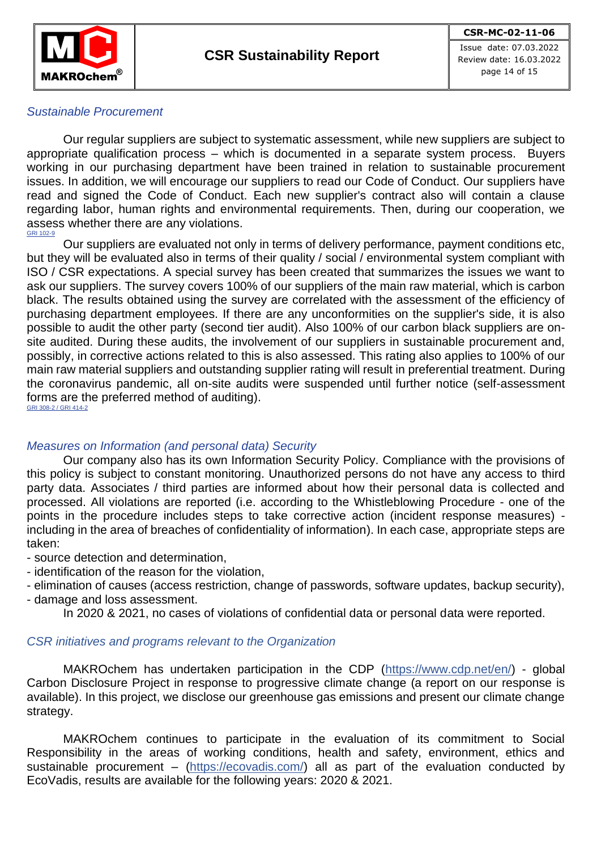

page 14 of 15

## *Sustainable Procurement*

Our regular suppliers are subject to systematic assessment, while new suppliers are subject to appropriate qualification process – which is documented in a separate system process. Buyers working in our purchasing department have been trained in relation to sustainable procurement issues. In addition, we will encourage our suppliers to read our Code of Conduct. Our suppliers have read and signed the Code of Conduct. Each new supplier's contract also will contain a clause regarding labor, human rights and environmental requirements. Then, during our cooperation, we assess whether there are any violations. GRI 102-9

Our suppliers are evaluated not only in terms of delivery performance, payment conditions etc, but they will be evaluated also in terms of their quality / social / environmental system compliant with ISO / CSR expectations. A special survey has been created that summarizes the issues we want to ask our suppliers. The survey covers 100% of our suppliers of the main raw material, which is carbon black. The results obtained using the survey are correlated with the assessment of the efficiency of purchasing department employees. If there are any unconformities on the supplier's side, it is also possible to audit the other party (second tier audit). Also 100% of our carbon black suppliers are onsite audited. During these audits, the involvement of our suppliers in sustainable procurement and, possibly, in corrective actions related to this is also assessed. This rating also applies to 100% of our main raw material suppliers and outstanding supplier rating will result in preferential treatment. During the coronavirus pandemic, all on-site audits were suspended until further notice (self-assessment forms are the preferred method of auditing). GRI 308-2 / GRI 414-2

### *Measures on Information (and personal data) Security*

Our company also has its own Information Security Policy. Compliance with the provisions of this policy is subject to constant monitoring. Unauthorized persons do not have any access to third party data. Associates / third parties are informed about how their personal data is collected and processed. All violations are reported (i.e. according to the Whistleblowing Procedure - one of the points in the procedure includes steps to take corrective action (incident response measures) including in the area of breaches of confidentiality of information). In each case, appropriate steps are taken:

- source detection and determination,
- identification of the reason for the violation,
- elimination of causes (access restriction, change of passwords, software updates, backup security),
- damage and loss assessment.
	- In 2020 & 2021, no cases of violations of confidential data or personal data were reported.

### *CSR initiatives and programs relevant to the Organization*

MAKROchem has undertaken participation in the CDP [\(https://www.cdp.net/en/\)](https://www.cdp.net/en/) - global Carbon Disclosure Project in response to progressive climate change (a report on our response is available). In this project, we disclose our greenhouse gas emissions and present our climate change strategy.

MAKROchem continues to participate in the evaluation of its commitment to Social Responsibility in the areas of working conditions, health and safety, environment, ethics and sustainable procurement – [\(https://ecovadis.com/\)](https://ecovadis.com/) all as part of the evaluation conducted by EcoVadis, results are available for the following years: 2020 & 2021.